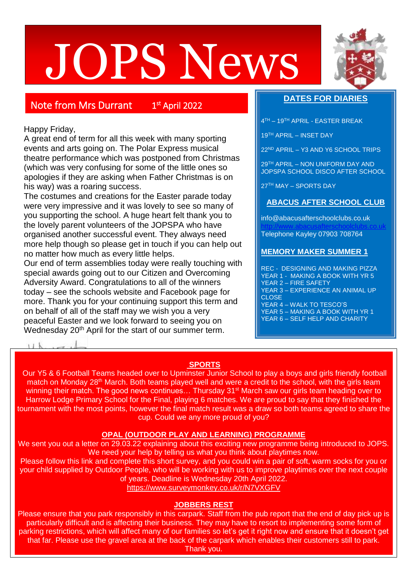# JOPS News



# Note from Mrs Durrant 1

st April 2022

# Happy Friday,

A great end of term for all this week with many sporting events and arts going on. The Polar Express musical theatre performance which was postponed from Christmas (which was very confusing for some of the little ones so apologies if they are asking when Father Christmas is on his way) was a roaring success.

The costumes and creations for the Easter parade today were very impressive and it was lovely to see so many of you supporting the school. A huge heart felt thank you to the lovely parent volunteers of the JOPSPA who have organised another successful event. They always need more help though so please get in touch if you can help out no matter how much as every little helps.

Our end of term assemblies today were really touching with special awards going out to our Citizen and Overcoming Adversity Award. Congratulations to all of the winners today – see the schools website and Facebook page for more. Thank you for your continuing support this term and on behalf of all of the staff may we wish you a very peaceful Easter and we look forward to seeing you on Wednesday 20<sup>th</sup> April for the start of our summer term.

# **DATES FOR DIARIES**

4 TH – 19TH APRIL - EASTER BREAK

19TH APRIL – INSET DAY

22ND APRIL – Y3 AND Y6 SCHOOL TRIPS

29TH APRIL – NON UNIFORM DAY AND JOPSPA SCHOOL DISCO AFTER SCHOOL

27TH MAY – SPORTS DAY

# **ABACUS AFTER SCHOOL CLUB**

info@abacusafterschoolclubs.co.uk [http://www.abacusafterschoolclubs.co.uk](http://www.abacusafterschoolclubs.co.uk/) Telephone Kayley 07903 708764

### **MEMORY MAKER SUMMER 1**

REC - DESIGNING AND MAKING PIZZA YEAR 1 - MAKING A BOOK WITH YR 5 YEAR 2 – FIRE SAFETY YEAR 3 – EXPERIENCE AN ANIMAL UP **CLOSE** YEAR 4 – WALK TO TESCO'S YEAR 5 – MAKING A BOOK WITH YR 1 YEAR 6 - SELF HELP AND CHARITY

# **SPORTS**

Our Y5 & 6 Football Teams headed over to Upminster Junior School to play a boys and girls friendly football match on Monday 28<sup>th</sup> March. Both teams played well and were a credit to the school, with the girls team winning their match. The good news continues... Thursday 31<sup>st</sup> March saw our girls team heading over to Harrow Lodge Primary School for the Final, playing 6 matches. We are proud to say that they finished the tournament with the most points, however the final match result was a draw so both teams agreed to share the cup. Could we any more proud of you?

#### **OPAL (OUTDOOR PLAY AND LEARNING) PROGRAMME**

We sent you out a letter on 29.03.22 explaining about this exciting new programme being introduced to JOPS. We need your help by telling us what you think about playtimes now.

Please follow this link and complete this short survey, and you could win a pair of soft, warm socks for you or your child supplied by Outdoor People, who will be working with us to improve playtimes over the next couple of years. Deadline is Wednesday 20th April 2022.

<https://www.surveymonkey.co.uk/r/N7VXGFV>

# **JOBBERS REST**

Please ensure that you park responsibly in this carpark. Staff from the pub report that the end of day pick up is particularly difficult and is affecting their business. They may have to resort to implementing some form of parking restrictions, which will affect many of our families so let's get it right now and ensure that it doesn't get that far. Please use the gravel area at the back of the carpark which enables their customers still to park. Thank you.